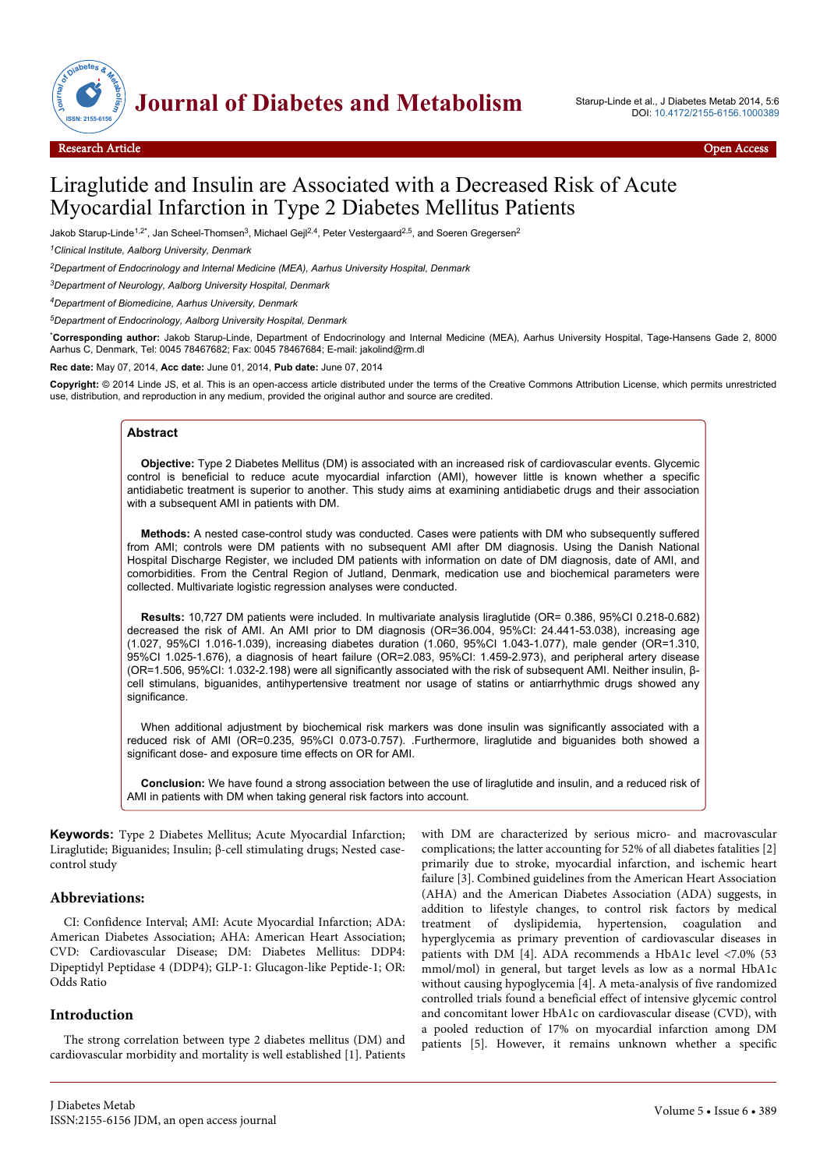



# Liraglutide and Insulin are Associated with a Decreased Risk of Acute Myocardial Infarction in Type 2 Diabetes Mellitus Patients

Jakob Starup-Linde<sup>1,2\*</sup>, Jan Scheel-Thomsen<sup>3</sup>, Michael Gejl<sup>2,4</sup>, Peter Vestergaard<sup>2,5</sup>, and Soeren Gregersen<sup>2</sup>

*<sup>1</sup>Clinical Institute, Aalborg University, Denmark*

*<sup>2</sup>Department of Endocrinology and Internal Medicine (MEA), Aarhus University Hospital, Denmark*

*<sup>3</sup>Department of Neurology, Aalborg University Hospital, Denmark*

*<sup>4</sup>Department of Biomedicine, Aarhus University, Denmark*

*<sup>5</sup>Department of Endocrinology, Aalborg University Hospital, Denmark*

\***Corresponding author:** Jakob Starup-Linde, Department of Endocrinology and Internal Medicine (MEA), Aarhus University Hospital, Tage-Hansens Gade 2, 8000 Aarhus C, Denmark, Tel: 0045 78467682; Fax: 0045 78467684; E-mail: jakolind@rm.dl

**Rec date:** May 07, 2014, **Acc date:** June 01, 2014, **Pub date:** June 07, 2014

**Copyright:** © 2014 Linde JS, et al. This is an open-access article distributed under the terms of the Creative Commons Attribution License, which permits unrestricted use, distribution, and reproduction in any medium, provided the original author and source are credited.

## **Abstract**

**Objective:** Type 2 Diabetes Mellitus (DM) is associated with an increased risk of cardiovascular events. Glycemic control is beneficial to reduce acute myocardial infarction (AMI), however little is known whether a specific antidiabetic treatment is superior to another. This study aims at examining antidiabetic drugs and their association with a subsequent AMI in patients with DM.

**Methods:** A nested case-control study was conducted. Cases were patients with DM who subsequently suffered from AMI; controls were DM patients with no subsequent AMI after DM diagnosis. Using the Danish National Hospital Discharge Register, we included DM patients with information on date of DM diagnosis, date of AMI, and comorbidities. From the Central Region of Jutland, Denmark, medication use and biochemical parameters were collected. Multivariate logistic regression analyses were conducted.

**Results:** 10,727 DM patients were included. In multivariate analysis liraglutide (OR= 0.386, 95%CI 0.218-0.682) decreased the risk of AMI. An AMI prior to DM diagnosis (OR=36.004, 95%CI: 24.441-53.038), increasing age (1.027, 95%CI 1.016-1.039), increasing diabetes duration (1.060, 95%CI 1.043-1.077), male gender (OR=1.310, 95%CI 1.025-1.676), a diagnosis of heart failure (OR=2.083, 95%CI: 1.459-2.973), and peripheral artery disease (OR=1.506, 95%CI: 1.032-2.198) were all significantly associated with the risk of subsequent AMI. Neither insulin, βcell stimulans, biguanides, antihypertensive treatment nor usage of statins or antiarrhythmic drugs showed any significance.

When additional adjustment by biochemical risk markers was done insulin was significantly associated with a reduced risk of AMI (OR=0.235, 95%CI 0.073-0.757). .Furthermore, liraglutide and biguanides both showed a significant dose- and exposure time effects on OR for AMI.

**Conclusion:** We have found a strong association between the use of liraglutide and insulin, and a reduced risk of AMI in patients with DM when taking general risk factors into account.

**Keywords:** Type 2 Diabetes Mellitus; Acute Myocardial Infarction; Liraglutide; Biguanides; Insulin; β-cell stimulating drugs; Nested casecontrol study

## **Abbreviations:**

CI: Confidence Interval; AMI: Acute Myocardial Infarction; ADA: American Diabetes Association; AHA: American Heart Association; CVD: Cardiovascular Disease; DM: Diabetes Mellitus: DDP4: Dipeptidyl Peptidase 4 (DDP4); GLP-1: Glucagon-like Peptide-1; OR: Odds Ratio

## **Introduction**

The strong correlation between type 2 diabetes mellitus (DM) and cardiovascular morbidity and mortality is well established [1]. Patients

with DM are characterized by serious micro- and macrovascular complications; the latter accounting for 52% of all diabetes fatalities [2] primarily due to stroke, myocardial infarction, and ischemic heart failure [3]. Combined guidelines from the American Heart Association (AHA) and the American Diabetes Association (ADA) suggests, in addition to lifestyle changes, to control risk factors by medical treatment of dyslipidemia, hypertension, coagulation and hyperglycemia as primary prevention of cardiovascular diseases in patients with DM [4]. ADA recommends a HbA1c level <7.0% (53 mmol/mol) in general, but target levels as low as a normal HbA1c without causing hypoglycemia [4]. A meta-analysis of five randomized controlled trials found a beneficial effect of intensive glycemic control and concomitant lower HbA1c on cardiovascular disease (CVD), with a pooled reduction of 17% on myocardial infarction among DM patients [5]. However, it remains unknown whether a specific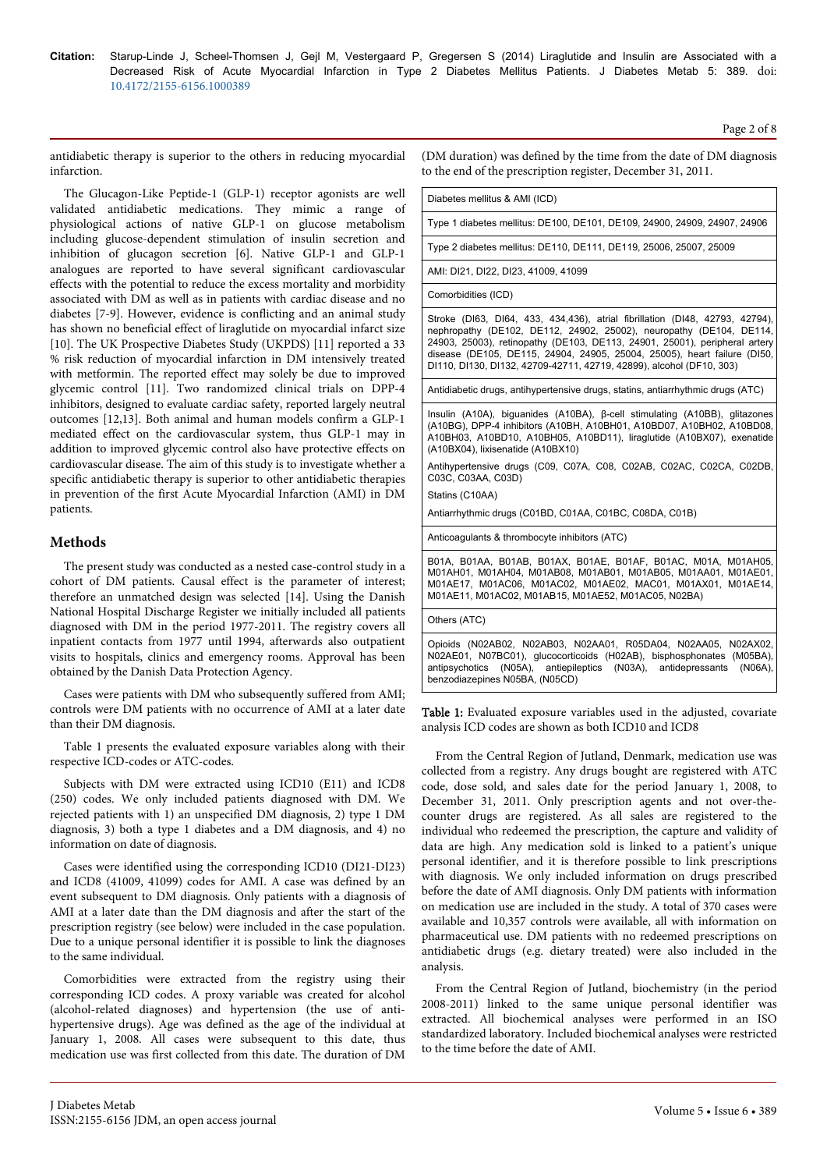antidiabetic therapy is superior to the others in reducing myocardial infarction.

The Glucagon-Like Peptide-1 (GLP-1) receptor agonists are well validated antidiabetic medications. They mimic a range of physiological actions of native GLP-1 on glucose metabolism including glucose-dependent stimulation of insulin secretion and inhibition of glucagon secretion [6]. Native GLP-1 and GLP-1 analogues are reported to have several significant cardiovascular effects with the potential to reduce the excess mortality and morbidity associated with DM as well as in patients with cardiac disease and no diabetes [7-9]. However, evidence is conflicting and an animal study has shown no beneficial effect of liraglutide on myocardial infarct size [10]. The UK Prospective Diabetes Study (UKPDS) [11] reported a 33 % risk reduction of myocardial infarction in DM intensively treated with metformin. The reported effect may solely be due to improved glycemic control [11]. Two randomized clinical trials on DPP-4 inhibitors, designed to evaluate cardiac safety, reported largely neutral outcomes [12,13]. Both animal and human models confirm a GLP-1 mediated effect on the cardiovascular system, thus GLP-1 may in addition to improved glycemic control also have protective effects on cardiovascular disease. The aim of this study is to investigate whether a specific antidiabetic therapy is superior to other antidiabetic therapies in prevention of the first Acute Myocardial Infarction (AMI) in DM patients.

# **Methods**

The present study was conducted as a nested case-control study in a cohort of DM patients. Causal effect is the parameter of interest; therefore an unmatched design was selected [14]. Using the Danish National Hospital Discharge Register we initially included all patients diagnosed with DM in the period 1977-2011. The registry covers all inpatient contacts from 1977 until 1994, afterwards also outpatient visits to hospitals, clinics and emergency rooms. Approval has been obtained by the Danish Data Protection Agency.

Cases were patients with DM who subsequently suffered from AMI; controls were DM patients with no occurrence of AMI at a later date than their DM diagnosis.

Table 1 presents the evaluated exposure variables along with their respective ICD-codes or ATC-codes.

Subjects with DM were extracted using ICD10 (E11) and ICD8 (250) codes. We only included patients diagnosed with DM. We rejected patients with 1) an unspecified DM diagnosis, 2) type 1 DM diagnosis, 3) both a type 1 diabetes and a DM diagnosis, and 4) no information on date of diagnosis.

Cases were identified using the corresponding ICD10 (DI21-DI23) and ICD8 (41009, 41099) codes for AMI. A case was defined by an event subsequent to DM diagnosis. Only patients with a diagnosis of AMI at a later date than the DM diagnosis and after the start of the prescription registry (see below) were included in the case population. Due to a unique personal identifier it is possible to link the diagnoses to the same individual.

Comorbidities were extracted from the registry using their corresponding ICD codes. A proxy variable was created for alcohol (alcohol-related diagnoses) and hypertension (the use of antihypertensive drugs). Age was defined as the age of the individual at January 1, 2008. All cases were subsequent to this date, thus medication use was first collected from this date. The duration of DM

(DM duration) was defined by the time from the date of DM diagnosis to the end of the prescription register, December 31, 2011.

Diabetes mellitus & AMI (ICD)

Type 1 diabetes mellitus: DE100, DE101, DE109, 24900, 24909, 24907, 24906

Type 2 diabetes mellitus: DE110, DE111, DE119, 25006, 25007, 25009

AMI: DI21, DI22, DI23, 41009, 41099

Comorbidities (ICD)

Stroke (DI63, DI64, 433, 434,436), atrial fibrillation (DI48, 42793, 42794), nephropathy (DE102, DE112, 24902, 25002), neuropathy (DE104, DE114, 24903, 25003), retinopathy (DE103, DE113, 24901, 25001), peripheral artery disease (DE105, DE115, 24904, 24905, 25004, 25005), heart failure (DI50, DI110, DI130, DI132, 42709-42711, 42719, 42899), alcohol (DF10, 303)

Antidiabetic drugs, antihypertensive drugs, statins, antiarrhythmic drugs (ATC)

Insulin (A10A), biguanides (A10BA), β-cell stimulating (A10BB), glitazones (A10BG), DPP-4 inhibitors (A10BH, A10BH01, A10BD07, A10BH02, A10BD08, A10BH03, A10BD10, A10BH05, A10BD11), liraglutide (A10BX07), exenatide (A10BX04), lixisenatide (A10BX10)

Antihypertensive drugs (C09, C07A, C08, C02AB, C02AC, C02CA, C02DB, C03C, C03AA, C03D)

Statins (C10AA)

Antiarrhythmic drugs (C01BD, C01AA, C01BC, C08DA, C01B)

Anticoagulants & thrombocyte inhibitors (ATC)

B01A, B01AA, B01AB, B01AX, B01AE, B01AF, B01AC, M01A, M01AH05, M01AH01, M01AH04, M01AB08, M01AB01, M01AB05, M01AA01, M01AE01, M01AE17, M01AC06, M01AC02, M01AE02, MAC01, M01AX01, M01AE14, M01AE11, M01AC02, M01AB15, M01AE52, M01AC05, N02BA)

Others (ATC)

Opioids (N02AB02, N02AB03, N02AA01, R05DA04, N02AA05, N02AX02, N02AE01, N07BC01), glucocorticoids (H02AB), bisphosphonates (M05BA), antipsychotics (N05A), antiepileptics (N03A), antidepressants (N06A), benzodiazepines N05BA, (N05CD)

Table 1: Evaluated exposure variables used in the adjusted, covariate analysis ICD codes are shown as both ICD10 and ICD8

From the Central Region of Jutland, Denmark, medication use was collected from a registry. Any drugs bought are registered with ATC code, dose sold, and sales date for the period January 1, 2008, to December 31, 2011. Only prescription agents and not over-thecounter drugs are registered. As all sales are registered to the individual who redeemed the prescription, the capture and validity of data are high. Any medication sold is linked to a patient's unique personal identifier, and it is therefore possible to link prescriptions with diagnosis. We only included information on drugs prescribed before the date of AMI diagnosis. Only DM patients with information on medication use are included in the study. A total of 370 cases were available and 10,357 controls were available, all with information on pharmaceutical use. DM patients with no redeemed prescriptions on antidiabetic drugs (e.g. dietary treated) were also included in the analysis.

From the Central Region of Jutland, biochemistry (in the period 2008-2011) linked to the same unique personal identifier was extracted. All biochemical analyses were performed in an ISO standardized laboratory. Included biochemical analyses were restricted to the time before the date of AMI.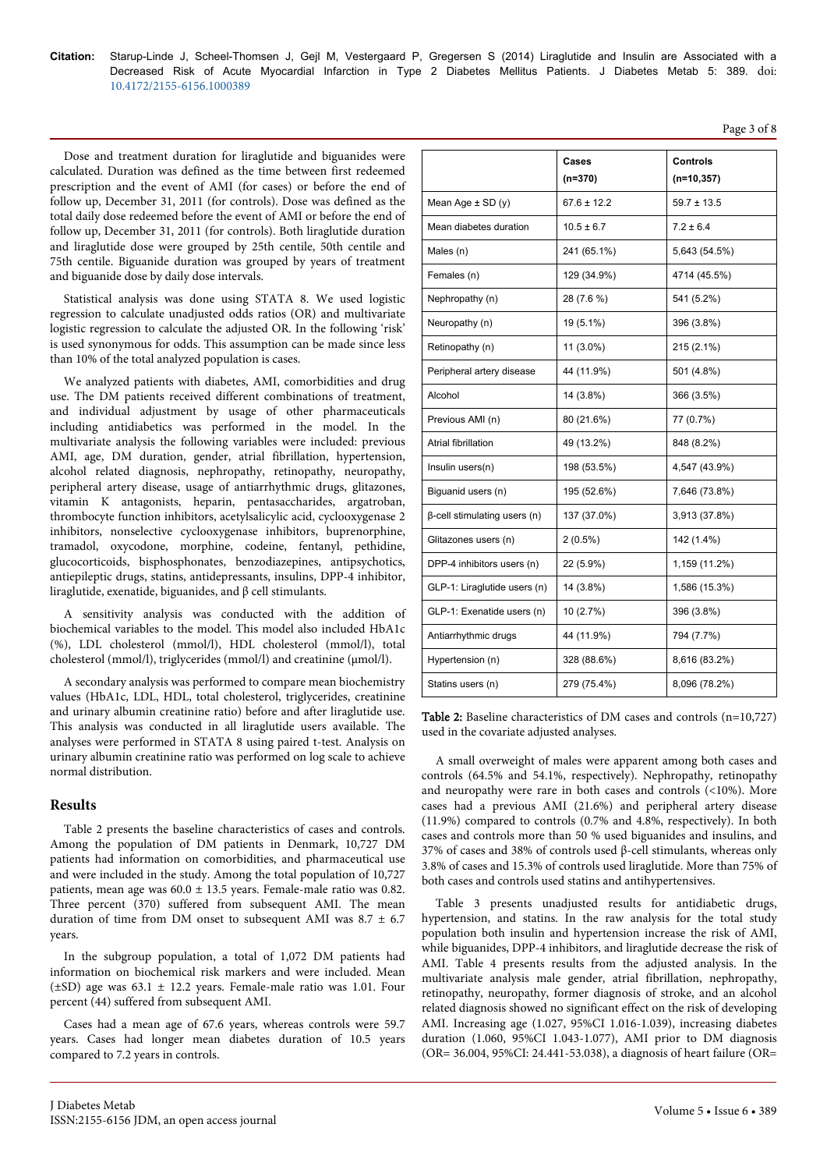Dose and treatment duration for liraglutide and biguanides were calculated. Duration was defined as the time between first redeemed prescription and the event of AMI (for cases) or before the end of follow up, December 31, 2011 (for controls). Dose was defined as the total daily dose redeemed before the event of AMI or before the end of follow up, December 31, 2011 (for controls). Both liraglutide duration and liraglutide dose were grouped by 25th centile, 50th centile and 75th centile. Biguanide duration was grouped by years of treatment and biguanide dose by daily dose intervals.

Statistical analysis was done using STATA 8. We used logistic regression to calculate unadjusted odds ratios (OR) and multivariate logistic regression to calculate the adjusted OR. In the following 'risk' is used synonymous for odds. This assumption can be made since less than 10% of the total analyzed population is cases.

We analyzed patients with diabetes, AMI, comorbidities and drug use. The DM patients received different combinations of treatment, and individual adjustment by usage of other pharmaceuticals including antidiabetics was performed in the model. In the multivariate analysis the following variables were included: previous AMI, age, DM duration, gender, atrial fibrillation, hypertension, alcohol related diagnosis, nephropathy, retinopathy, neuropathy, peripheral artery disease, usage of antiarrhythmic drugs, glitazones, vitamin K antagonists, heparin, pentasaccharides, argatroban, thrombocyte function inhibitors, acetylsalicylic acid, cyclooxygenase 2 inhibitors, nonselective cyclooxygenase inhibitors, buprenorphine, tramadol, oxycodone, morphine, codeine, fentanyl, pethidine, glucocorticoids, bisphosphonates, benzodiazepines, antipsychotics, antiepileptic drugs, statins, antidepressants, insulins, DPP-4 inhibitor, liraglutide, exenatide, biguanides, and β cell stimulants.

A sensitivity analysis was conducted with the addition of biochemical variables to the model. This model also included HbA1c (%), LDL cholesterol (mmol/l), HDL cholesterol (mmol/l), total cholesterol (mmol/l), triglycerides (mmol/l) and creatinine (μmol/l).

A secondary analysis was performed to compare mean biochemistry values (HbA1c, LDL, HDL, total cholesterol, triglycerides, creatinine and urinary albumin creatinine ratio) before and after liraglutide use. This analysis was conducted in all liraglutide users available. The analyses were performed in STATA 8 using paired t-test. Analysis on urinary albumin creatinine ratio was performed on log scale to achieve normal distribution.

# **Results**

Table 2 presents the baseline characteristics of cases and controls. Among the population of DM patients in Denmark, 10,727 DM patients had information on comorbidities, and pharmaceutical use and were included in the study. Among the total population of 10,727 patients, mean age was 60.0 ± 13.5 years. Female-male ratio was 0.82. Three percent (370) suffered from subsequent AMI. The mean duration of time from DM onset to subsequent AMI was 8.7 ± 6.7 years.

In the subgroup population, a total of 1,072 DM patients had information on biochemical risk markers and were included. Mean (±SD) age was 63.1 ± 12.2 years. Female-male ratio was 1.01. Four percent (44) suffered from subsequent AMI.

Cases had a mean age of 67.6 years, whereas controls were 59.7 years. Cases had longer mean diabetes duration of 10.5 years compared to 7.2 years in controls.

|                                     | Cases           | Controls        |
|-------------------------------------|-----------------|-----------------|
|                                     | (n=370)         | $(n=10, 357)$   |
| Mean Age $\pm$ SD (y)               | $67.6 \pm 12.2$ | $59.7 \pm 13.5$ |
| Mean diabetes duration              | $10.5 \pm 6.7$  | $7.2 \pm 6.4$   |
| Males (n)                           | 241 (65.1%)     | 5,643 (54.5%)   |
| Females (n)                         | 129 (34.9%)     | 4714 (45.5%)    |
| Nephropathy (n)                     | 28 (7.6 %)      | 541 (5.2%)      |
| Neuropathy (n)                      | 19 (5.1%)       | 396 (3.8%)      |
| Retinopathy (n)                     | 11 (3.0%)       | 215 (2.1%)      |
| Peripheral artery disease           | 44 (11.9%)      | 501 (4.8%)      |
| Alcohol                             | 14 (3.8%)       | 366 (3.5%)      |
| Previous AMI (n)                    | 80 (21.6%)      | 77 (0.7%)       |
| Atrial fibrillation                 | 49 (13.2%)      | 848 (8.2%)      |
| Insulin users(n)                    | 198 (53.5%)     | 4,547 (43.9%)   |
| Biguanid users (n)                  | 195 (52.6%)     | 7,646 (73.8%)   |
| $\beta$ -cell stimulating users (n) | 137 (37.0%)     | 3,913 (37.8%)   |
| Glitazones users (n)                | $2(0.5\%)$      | 142 (1.4%)      |
| DPP-4 inhibitors users (n)          | 22 (5.9%)       | 1,159 (11.2%)   |
| GLP-1: Liraglutide users (n)        | 14 (3.8%)       | 1,586 (15.3%)   |
| GLP-1: Exenatide users (n)          | 10 (2.7%)       | 396 (3.8%)      |
| Antiarrhythmic drugs                | 44 (11.9%)      | 794 (7.7%)      |
| Hypertension (n)                    | 328 (88.6%)     | 8,616 (83.2%)   |
| Statins users (n)                   | 279 (75.4%)     | 8,096 (78.2%)   |

Page 3 of 8

Table 2: Baseline characteristics of DM cases and controls (n=10,727) used in the covariate adjusted analyses.

A small overweight of males were apparent among both cases and controls (64.5% and 54.1%, respectively). Nephropathy, retinopathy and neuropathy were rare in both cases and controls (<10%). More cases had a previous AMI (21.6%) and peripheral artery disease (11.9%) compared to controls (0.7% and 4.8%, respectively). In both cases and controls more than 50 % used biguanides and insulins, and 37% of cases and 38% of controls used β-cell stimulants, whereas only 3.8% of cases and 15.3% of controls used liraglutide. More than 75% of both cases and controls used statins and antihypertensives.

Table 3 presents unadjusted results for antidiabetic drugs, hypertension, and statins. In the raw analysis for the total study population both insulin and hypertension increase the risk of AMI, while biguanides, DPP-4 inhibitors, and liraglutide decrease the risk of AMI. Table 4 presents results from the adjusted analysis. In the multivariate analysis male gender, atrial fibrillation, nephropathy, retinopathy, neuropathy, former diagnosis of stroke, and an alcohol related diagnosis showed no significant effect on the risk of developing AMI. Increasing age (1.027, 95%CI 1.016-1.039), increasing diabetes duration (1.060, 95%CI 1.043-1.077), AMI prior to DM diagnosis (OR= 36.004, 95%CI: 24.441-53.038), a diagnosis of heart failure (OR=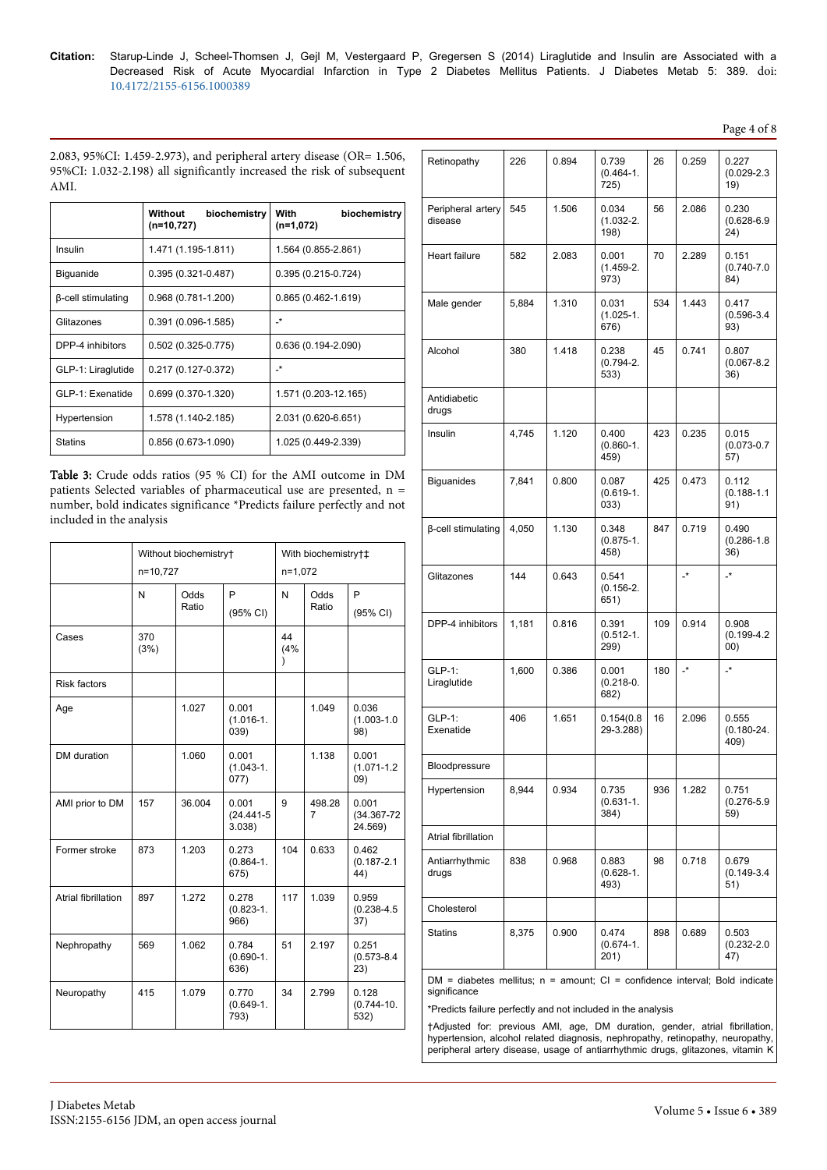Page 4 of 8

2.083, 95%CI: 1.459-2.973), and peripheral artery disease (OR= 1.506, 95%CI: 1.032-2.198) all significantly increased the risk of subsequent AMI.

|                           | Without<br>biochemistry<br>$(n=10,727)$ | With<br>biochemistry<br>$(n=1,072)$ |
|---------------------------|-----------------------------------------|-------------------------------------|
| Insulin                   | 1.471 (1.195-1.811)                     | 1.564 (0.855-2.861)                 |
| <b>Biguanide</b>          | $0.395(0.321 - 0.487)$                  | $0.395(0.215-0.724)$                |
| <b>B-cell stimulating</b> | $0.968(0.781 - 1.200)$                  | $0.865(0.462 - 1.619)$              |
| Glitazones                | $0.391(0.096-1.585)$                    | _*                                  |
| DPP-4 inhibitors          | $0.502(0.325-0.775)$                    | $0.636(0.194 - 2.090)$              |
| GLP-1: Liraglutide        | $0.217(0.127 - 0.372)$                  | _*                                  |
| GLP-1: Exenatide          | 0.699 (0.370-1.320)                     | 1.571 (0.203-12.165)                |
| Hypertension              | 1.578 (1.140-2.185)                     | 2.031 (0.620-6.651)                 |
| <b>Statins</b>            | 0.856 (0.673-1.090)                     | 1.025 (0.449-2.339)                 |

Table 3: Crude odds ratios (95 % CI) for the AMI outcome in DM patients Selected variables of pharmaceutical use are presented, n = number, bold indicates significance \*Predicts failure perfectly and not included in the analysis

|                            | Without biochemistry†<br>n=10,727 |               |                                  | With biochemistry†‡<br>$n=1,072$ |               |                                     |
|----------------------------|-----------------------------------|---------------|----------------------------------|----------------------------------|---------------|-------------------------------------|
|                            | N                                 | Odds<br>Ratio | P<br>(95% CI)                    | N                                | Odds<br>Ratio | P<br>(95% CI)                       |
| Cases                      | 370<br>(3%)                       |               |                                  | 44<br>(4%<br>)                   |               |                                     |
| <b>Risk factors</b>        |                                   |               |                                  |                                  |               |                                     |
| Age                        |                                   | 1.027         | 0.001<br>$(1.016 - 1.$<br>039)   |                                  | 1.049         | 0.036<br>$(1.003 - 1.0)$<br>98)     |
| DM duration                |                                   | 1.060         | 0.001<br>$(1.043 - 1.$<br>077)   |                                  | 1.138         | 0.001<br>$(1.071 - 1.2)$<br>09)     |
| AMI prior to DM            | 157                               | 36.004        | 0.001<br>$(24.441 - 5)$<br>3.038 | 9                                | 498.28<br>7   | 0.001<br>$(34.367 - 72)$<br>24.569) |
| Former stroke              | 873                               | 1.203         | 0.273<br>$(0.864 - 1.$<br>675)   | 104                              | 0.633         | 0.462<br>$(0.187 - 2.1)$<br>44)     |
| <b>Atrial fibrillation</b> | 897                               | 1.272         | 0.278<br>$(0.823 - 1.$<br>966)   | 117                              | 1.039         | 0.959<br>$(0.238 - 4.5)$<br>37)     |
| Nephropathy                | 569                               | 1.062         | 0.784<br>$(0.690 - 1.$<br>636)   | 51                               | 2.197         | 0.251<br>$(0.573 - 8.4)$<br>23)     |
| Neuropathy                 | 415                               | 1.079         | 0.770<br>$(0.649-1.$<br>793)     | 34                               | 2.799         | 0.128<br>$(0.744 - 10.$<br>532)     |

| Retinopathy                                                                       | 226   | 0.894 | 0.739<br>$(0.464 - 1.$<br>725) | 26  | 0.259                | 0.227<br>$(0.029 - 2.3)$<br>19)  |
|-----------------------------------------------------------------------------------|-------|-------|--------------------------------|-----|----------------------|----------------------------------|
| Peripheral artery<br>disease                                                      | 545   | 1.506 | 0.034<br>$(1.032 - 2.$<br>198) | 56  | 2.086                | 0.230<br>$(0.628 - 6.9)$<br>24)  |
| Heart failure                                                                     | 582   | 2.083 | 0.001<br>$(1.459-2.$<br>973)   | 70  | 2.289                | 0.151<br>$(0.740 - 7.0)$<br>84)  |
| Male gender                                                                       | 5,884 | 1.310 | 0.031<br>$(1.025 - 1.$<br>676) | 534 | 1.443                | 0.417<br>$(0.596 - 3.4)$<br>93)  |
| Alcohol                                                                           | 380   | 1.418 | 0.238<br>$(0.794 - 2.$<br>533) | 45  | 0.741                | 0.807<br>$(0.067 - 8.2)$<br>36)  |
| Antidiabetic<br>drugs                                                             |       |       |                                |     |                      |                                  |
| Insulin                                                                           | 4,745 | 1.120 | 0.400<br>$(0.860 - 1.$<br>459) | 423 | 0.235                | 0.015<br>$(0.073 - 0.7)$<br>57)  |
| <b>Biguanides</b>                                                                 | 7,841 | 0.800 | 0.087<br>$(0.619-1.$<br>033)   | 425 | 0.473                | 0.112<br>$(0.188 - 1.1)$<br>91)  |
| β-cell stimulating                                                                | 4,050 | 1.130 | 0.348<br>$(0.875 - 1.$<br>458) | 847 | 0.719                | 0.490<br>$(0.286 - 1.8)$<br>36)  |
| Glitazones                                                                        | 144   | 0.643 | 0.541<br>$(0.156 - 2.$<br>651) |     | $\cdot^*$            | $\overline{\phantom{a}}^*$       |
| DPP-4 inhibitors                                                                  | 1,181 | 0.816 | 0.391<br>$(0.512 - 1.$<br>299) | 109 | 0.914                | 0.908<br>$(0.199 - 4.2)$<br>(00) |
| GLP-1:<br>Liraglutide                                                             | 1,600 | 0.386 | 0.001<br>$(0.218 - 0.$<br>682) | 180 | $\mathbf{L}^{\star}$ | $\cdot^*$                        |
| GLP-1:<br>Exenatide                                                               | 406   | 1.651 | 0.154(0.8)<br>29-3.288)        | 16  | 2.096                | 0.555<br>$(0.180 - 24.$<br>409)  |
| Bloodpressure                                                                     |       |       |                                |     |                      |                                  |
| Hypertension                                                                      | 8,944 | 0.934 | 0.735<br>$(0.631 - 1.$<br>384) | 936 | 1.282                | 0.751<br>$(0.276 - 5.9)$<br>59)  |
| Atrial fibrillation                                                               |       |       |                                |     |                      |                                  |
| Antiarrhythmic<br>drugs                                                           | 838   | 0.968 | 0.883<br>$(0.628 - 1.$<br>493) | 98  | 0.718                | 0.679<br>$(0.149 - 3.4)$<br>51)  |
| Cholesterol                                                                       |       |       |                                |     |                      |                                  |
| <b>Statins</b>                                                                    | 8,375 | 0.900 | 0.474<br>$(0.674 - 1.$<br>201) | 898 | 0.689                | 0.503<br>$(0.232 - 2.0)$<br>47)  |
| $DM =$ diabetes mellitus: $n =$ amount: $Cl =$ confidence interval: Bold indicate |       |       |                                |     |                      |                                  |

 $DM =$  diabetes mellitus;  $n =$  amount;  $Cl =$  confidence interval; Bold indicate significance

\*Predicts failure perfectly and not included in the analysis

†Adjusted for: previous AMI, age, DM duration, gender, atrial fibrillation, hypertension, alcohol related diagnosis, nephropathy, retinopathy, neuropathy, peripheral artery disease, usage of antiarrhythmic drugs, glitazones, vitamin K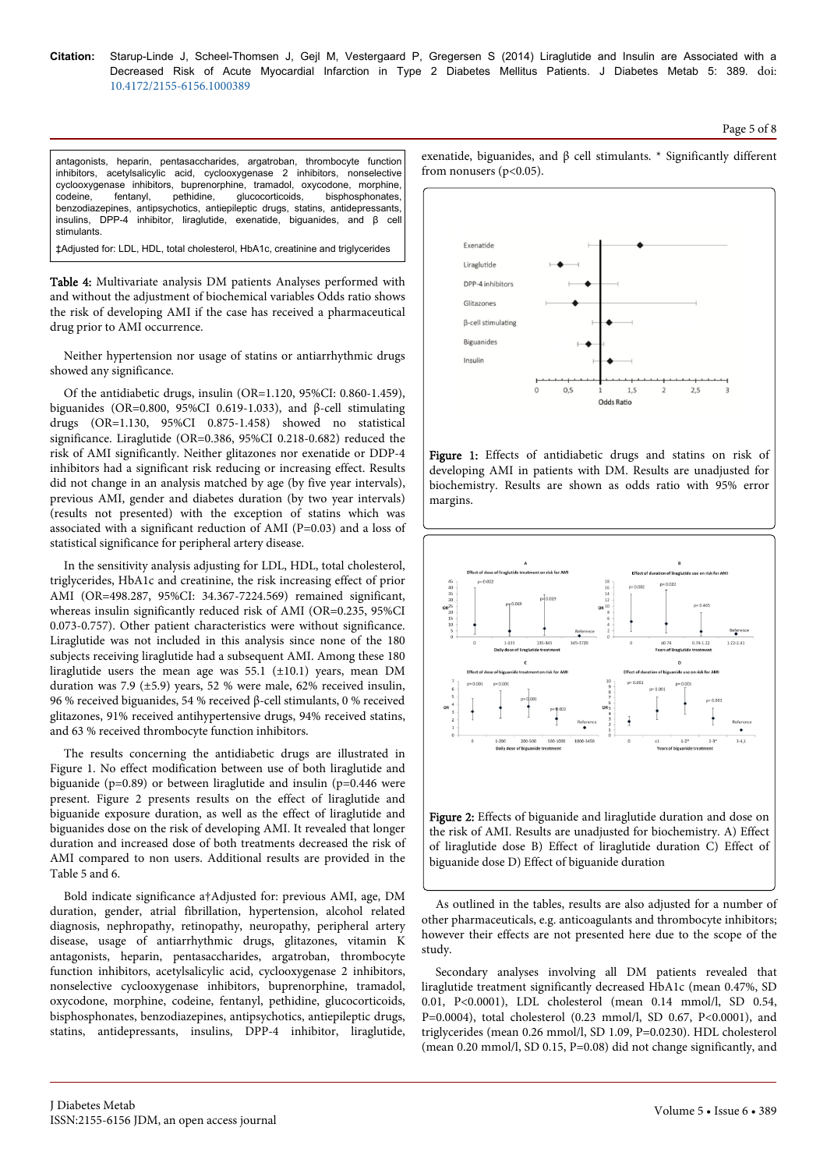#### Page 5 of 8

antagonists, heparin, pentasaccharides, argatroban, thrombocyte function inhibitors, acetylsalicylic acid, cyclooxygenase 2 inhibitors, nonselective cyclooxygenase inhibitors, buprenorphine, tramadol, oxycodone, morphine, codeine, fentanyl, pethidine, glucocorticoids, bisphosphonates, benzodiazepines, antipsychotics, antiepileptic drugs, statins, antidepressants, insulins, DPP-4 inhibitor, liraglutide, exenatide, biguanides, and β cell stimulants.

‡Adjusted for: LDL, HDL, total cholesterol, HbA1c, creatinine and triglycerides

Table 4: Multivariate analysis DM patients Analyses performed with and without the adjustment of biochemical variables Odds ratio shows the risk of developing AMI if the case has received a pharmaceutical drug prior to AMI occurrence.

Neither hypertension nor usage of statins or antiarrhythmic drugs showed any significance.

Of the antidiabetic drugs, insulin (OR=1.120, 95%CI: 0.860-1.459), biguanides (OR=0.800, 95%CI 0.619-1.033), and β-cell stimulating drugs (OR=1.130, 95%CI 0.875-1.458) showed no statistical significance. Liraglutide (OR=0.386, 95%CI 0.218-0.682) reduced the risk of AMI significantly. Neither glitazones nor exenatide or DDP-4 inhibitors had a significant risk reducing or increasing effect. Results did not change in an analysis matched by age (by five year intervals), previous AMI, gender and diabetes duration (by two year intervals) (results not presented) with the exception of statins which was associated with a significant reduction of AMI (P=0.03) and a loss of statistical significance for peripheral artery disease.

In the sensitivity analysis adjusting for LDL, HDL, total cholesterol, triglycerides, HbA1c and creatinine, the risk increasing effect of prior AMI (OR=498.287, 95%CI: 34.367-7224.569) remained significant, whereas insulin significantly reduced risk of AMI (OR=0.235, 95%CI 0.073-0.757). Other patient characteristics were without significance. Liraglutide was not included in this analysis since none of the 180 subjects receiving liraglutide had a subsequent AMI. Among these 180 liraglutide users the mean age was  $55.1$  ( $\pm 10.1$ ) years, mean DM duration was 7.9 (±5.9) years, 52 % were male, 62% received insulin, 96 % received biguanides, 54 % received β-cell stimulants, 0 % received glitazones, 91% received antihypertensive drugs, 94% received statins, and 63 % received thrombocyte function inhibitors.

The results concerning the antidiabetic drugs are illustrated in Figure 1. No effect modification between use of both liraglutide and biguanide (p=0.89) or between liraglutide and insulin (p=0.446 were present. Figure 2 presents results on the effect of liraglutide and biguanide exposure duration, as well as the effect of liraglutide and biguanides dose on the risk of developing AMI. It revealed that longer duration and increased dose of both treatments decreased the risk of AMI compared to non users. Additional results are provided in the Table 5 and 6.

Bold indicate significance a†Adjusted for: previous AMI, age, DM duration, gender, atrial fibrillation, hypertension, alcohol related diagnosis, nephropathy, retinopathy, neuropathy, peripheral artery disease, usage of antiarrhythmic drugs, glitazones, vitamin K antagonists, heparin, pentasaccharides, argatroban, thrombocyte function inhibitors, acetylsalicylic acid, cyclooxygenase 2 inhibitors, nonselective cyclooxygenase inhibitors, buprenorphine, tramadol, oxycodone, morphine, codeine, fentanyl, pethidine, glucocorticoids, bisphosphonates, benzodiazepines, antipsychotics, antiepileptic drugs, statins, antidepressants, insulins, DPP-4 inhibitor, liraglutide,

exenatide, biguanides, and β cell stimulants. \* Significantly different from nonusers  $(p<0.05)$ .



Figure 1: Effects of antidiabetic drugs and statins on risk of developing AMI in patients with DM. Results are unadjusted for biochemistry. Results are shown as odds ratio with 95% error margins.



As outlined in the tables, results are also adjusted for a number of other pharmaceuticals, e.g. anticoagulants and thrombocyte inhibitors; however their effects are not presented here due to the scope of the study.

Secondary analyses involving all DM patients revealed that liraglutide treatment significantly decreased HbA1c (mean 0.47%, SD 0.01, P<0.0001), LDL cholesterol (mean 0.14 mmol/l, SD 0.54, P=0.0004), total cholesterol (0.23 mmol/l, SD 0.67, P<0.0001), and triglycerides (mean 0.26 mmol/l, SD 1.09, P=0.0230). HDL cholesterol (mean 0.20 mmol/l, SD 0.15, P=0.08) did not change significantly, and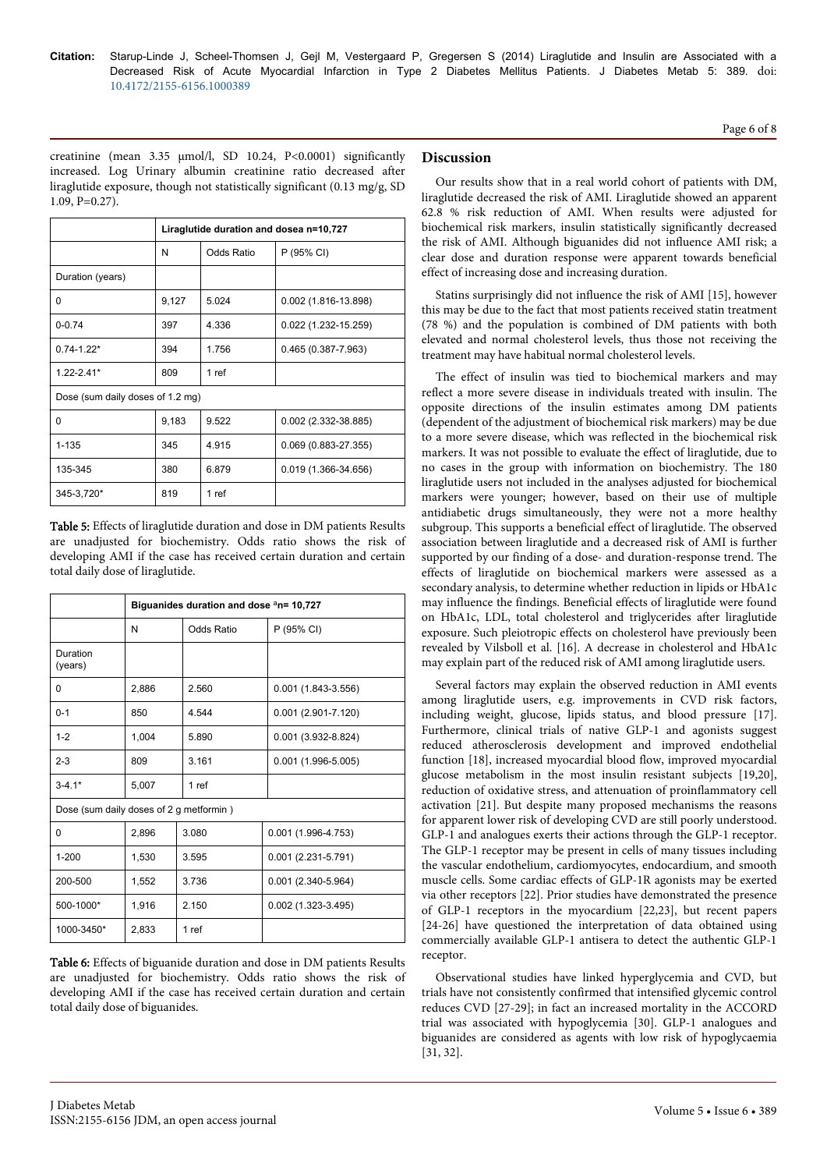Page 6 of 8

creatinine (mean 3.35 µmol/l, SD 10.24, P<0.0001) significantly increased. Log Urinary albumin creatinine ratio decreased after liraglutide exposure, though not statistically significant (0.13 mg/g, SD 1.09, P=0.27).

|                                  | Liraglutide duration and dosea n=10,727 |                   |                         |  |  |  |
|----------------------------------|-----------------------------------------|-------------------|-------------------------|--|--|--|
|                                  | Ν                                       | <b>Odds Ratio</b> | P (95% CI)              |  |  |  |
| Duration (years)                 |                                         |                   |                         |  |  |  |
| 0                                | 9,127                                   | 5.024             | 0.002 (1.816-13.898)    |  |  |  |
| $0 - 0.74$                       | 397                                     | 4.336             | 0.022 (1.232-15.259)    |  |  |  |
| $0.74 - 1.22*$                   | 394                                     | 1.756             | $0.465(0.387 - 7.963)$  |  |  |  |
| $1.22 - 2.41*$                   | 809                                     | 1 ref             |                         |  |  |  |
| Dose (sum daily doses of 1.2 mg) |                                         |                   |                         |  |  |  |
| O                                | 9,183                                   | 9.522             | 0.002 (2.332-38.885)    |  |  |  |
| $1 - 135$                        | 345                                     | 4.915             | $0.069(0.883 - 27.355)$ |  |  |  |
| 135-345                          | 380                                     | 6.879             | 0.019 (1.366-34.656)    |  |  |  |
| 345-3,720*                       | 819                                     | 1 ref             |                         |  |  |  |

Table 5: Effects of liraglutide duration and dose in DM patients Results are unadjusted for biochemistry. Odds ratio shows the risk of developing AMI if the case has received certain duration and certain total daily dose of liraglutide.

|                                         | Biguanides duration and dose <sup>a</sup> n= 10,727 |            |                        |  |  |  |
|-----------------------------------------|-----------------------------------------------------|------------|------------------------|--|--|--|
|                                         | N                                                   | Odds Ratio | P (95% CI)             |  |  |  |
| Duration<br>(years)                     |                                                     |            |                        |  |  |  |
| 0                                       | 2,886                                               | 2.560      | $0.001(1.843-3.556)$   |  |  |  |
| $0 - 1$                                 | 850                                                 | 4.544      | $0.001(2.901 - 7.120)$ |  |  |  |
| $1 - 2$                                 | 1,004                                               | 5.890      | $0.001(3.932-8.824)$   |  |  |  |
| $2 - 3$                                 | 809                                                 | 3.161      | $0.001(1.996-5.005)$   |  |  |  |
| $3 - 4.1*$                              | 5,007                                               | 1 ref      |                        |  |  |  |
| Dose (sum daily doses of 2 g metformin) |                                                     |            |                        |  |  |  |
| 0                                       | 2,896                                               | 3.080      | $0.001(1.996-4.753)$   |  |  |  |
| $1 - 200$                               | 1,530                                               | 3.595      | $0.001(2.231 - 5.791)$ |  |  |  |
| 200-500                                 | 1,552                                               | 3.736      | $0.001(2.340-5.964)$   |  |  |  |
| 500-1000*                               | 1,916                                               | 2.150      | $0.002$ (1.323-3.495)  |  |  |  |
| 1000-3450*                              | 2,833                                               | 1 ref      |                        |  |  |  |

Table 6: Effects of biguanide duration and dose in DM patients Results are unadjusted for biochemistry. Odds ratio shows the risk of developing AMI if the case has received certain duration and certain total daily dose of biguanides.

# **Discussion**

Our results show that in a real world cohort of patients with DM, liraglutide decreased the risk of AMI. Liraglutide showed an apparent 62.8 % risk reduction of AMI. When results were adjusted for biochemical risk markers, insulin statistically significantly decreased the risk of AMI. Although biguanides did not influence AMI risk; a clear dose and duration response were apparent towards beneficial effect of increasing dose and increasing duration.

Statins surprisingly did not influence the risk of AMI [15], however this may be due to the fact that most patients received statin treatment (78 %) and the population is combined of DM patients with both elevated and normal cholesterol levels, thus those not receiving the treatment may have habitual normal cholesterol levels.

The effect of insulin was tied to biochemical markers and may reflect a more severe disease in individuals treated with insulin. The opposite directions of the insulin estimates among DM patients (dependent of the adjustment of biochemical risk markers) may be due to a more severe disease, which was reflected in the biochemical risk markers. It was not possible to evaluate the effect of liraglutide, due to no cases in the group with information on biochemistry. The 180 liraglutide users not included in the analyses adjusted for biochemical markers were younger; however, based on their use of multiple antidiabetic drugs simultaneously, they were not a more healthy subgroup. This supports a beneficial effect of liraglutide. The observed association between liraglutide and a decreased risk of AMI is further supported by our finding of a dose- and duration-response trend. The effects of liraglutide on biochemical markers were assessed as a secondary analysis, to determine whether reduction in lipids or HbA1c may influence the findings. Beneficial effects of liraglutide were found on HbA1c, LDL, total cholesterol and triglycerides after liraglutide exposure. Such pleiotropic effects on cholesterol have previously been revealed by Vilsboll et al. [16]. A decrease in cholesterol and HbA1c may explain part of the reduced risk of AMI among liraglutide users.

Several factors may explain the observed reduction in AMI events among liraglutide users, e.g. improvements in CVD risk factors, including weight, glucose, lipids status, and blood pressure [17]. Furthermore, clinical trials of native GLP-1 and agonists suggest reduced atherosclerosis development and improved endothelial function [18], increased myocardial blood flow, improved myocardial glucose metabolism in the most insulin resistant subjects [19,20], reduction of oxidative stress, and attenuation of proinflammatory cell activation [21]. But despite many proposed mechanisms the reasons for apparent lower risk of developing CVD are still poorly understood. GLP-1 and analogues exerts their actions through the GLP-1 receptor. The GLP-1 receptor may be present in cells of many tissues including the vascular endothelium, cardiomyocytes, endocardium, and smooth muscle cells. Some cardiac effects of GLP-1R agonists may be exerted via other receptors [22]. Prior studies have demonstrated the presence of GLP-1 receptors in the myocardium [22,23], but recent papers [24-26] have questioned the interpretation of data obtained using commercially available GLP-1 antisera to detect the authentic GLP-1 receptor.

Observational studies have linked hyperglycemia and CVD, but trials have not consistently confirmed that intensified glycemic control reduces CVD [27-29]; in fact an increased mortality in the ACCORD trial was associated with hypoglycemia [30]. GLP-1 analogues and biguanides are considered as agents with low risk of hypoglycaemia [31, 32].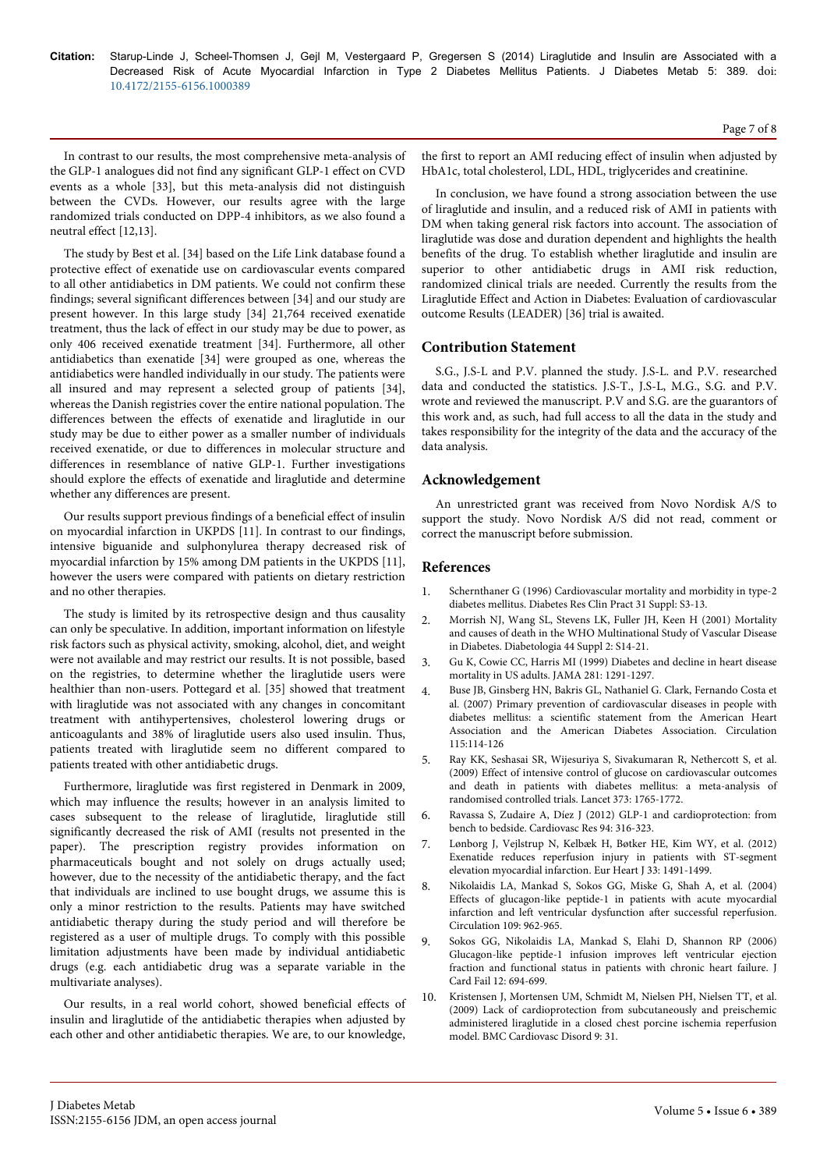In contrast to our results, the most comprehensive meta-analysis of the GLP-1 analogues did not find any significant GLP-1 effect on CVD events as a whole [33], but this meta-analysis did not distinguish between the CVDs. However, our results agree with the large randomized trials conducted on DPP-4 inhibitors, as we also found a neutral effect [12,13].

The study by Best et al. [34] based on the Life Link database found a protective effect of exenatide use on cardiovascular events compared to all other antidiabetics in DM patients. We could not confirm these findings; several significant differences between [34] and our study are present however. In this large study [34] 21,764 received exenatide treatment, thus the lack of effect in our study may be due to power, as only 406 received exenatide treatment [34]. Furthermore, all other antidiabetics than exenatide [34] were grouped as one, whereas the antidiabetics were handled individually in our study. The patients were all insured and may represent a selected group of patients [34], whereas the Danish registries cover the entire national population. The differences between the effects of exenatide and liraglutide in our study may be due to either power as a smaller number of individuals received exenatide, or due to differences in molecular structure and differences in resemblance of native GLP-1. Further investigations should explore the effects of exenatide and liraglutide and determine whether any differences are present.

Our results support previous findings of a beneficial effect of insulin on myocardial infarction in UKPDS [11]. In contrast to our findings, intensive biguanide and sulphonylurea therapy decreased risk of myocardial infarction by 15% among DM patients in the UKPDS [11], however the users were compared with patients on dietary restriction and no other therapies.

The study is limited by its retrospective design and thus causality can only be speculative. In addition, important information on lifestyle risk factors such as physical activity, smoking, alcohol, diet, and weight were not available and may restrict our results. It is not possible, based on the registries, to determine whether the liraglutide users were healthier than non-users. Pottegard et al. [35] showed that treatment with liraglutide was not associated with any changes in concomitant treatment with antihypertensives, cholesterol lowering drugs or anticoagulants and 38% of liraglutide users also used insulin. Thus, patients treated with liraglutide seem no different compared to patients treated with other antidiabetic drugs.

Furthermore, liraglutide was first registered in Denmark in 2009, which may influence the results; however in an analysis limited to cases subsequent to the release of liraglutide, liraglutide still significantly decreased the risk of AMI (results not presented in the paper). The prescription registry provides information on pharmaceuticals bought and not solely on drugs actually used; however, due to the necessity of the antidiabetic therapy, and the fact that individuals are inclined to use bought drugs, we assume this is only a minor restriction to the results. Patients may have switched antidiabetic therapy during the study period and will therefore be registered as a user of multiple drugs. To comply with this possible limitation adjustments have been made by individual antidiabetic drugs (e.g. each antidiabetic drug was a separate variable in the multivariate analyses).

Our results, in a real world cohort, showed beneficial effects of insulin and liraglutide of the antidiabetic therapies when adjusted by each other and other antidiabetic therapies. We are, to our knowledge, the first to report an AMI reducing effect of insulin when adjusted by HbA1c, total cholesterol, LDL, HDL, triglycerides and creatinine.

In conclusion, we have found a strong association between the use of liraglutide and insulin, and a reduced risk of AMI in patients with DM when taking general risk factors into account. The association of liraglutide was dose and duration dependent and highlights the health benefits of the drug. To establish whether liraglutide and insulin are superior to other antidiabetic drugs in AMI risk reduction, randomized clinical trials are needed. Currently the results from the Liraglutide Effect and Action in Diabetes: Evaluation of cardiovascular outcome Results (LEADER) [36] trial is awaited.

## **Contribution Statement**

S.G., J.S-L and P.V. planned the study. J.S-L. and P.V. researched data and conducted the statistics. J.S-T., J.S-L, M.G., S.G. and P.V. wrote and reviewed the manuscript. P.V and S.G. are the guarantors of this work and, as such, had full access to all the data in the study and takes responsibility for the integrity of the data and the accuracy of the data analysis.

## **Acknowledgement**

An unrestricted grant was received from Novo Nordisk A/S to support the study. Novo Nordisk A/S did not read, comment or correct the manuscript before submission.

## **References**

- 1. [Schernthaner G \(1996\) Cardiovascular mortality and morbidity in type-2](http://www.ncbi.nlm.nih.gov/pubmed/8864635) [diabetes mellitus. Diabetes Res Clin Pract 31 Suppl: S3-13.](http://www.ncbi.nlm.nih.gov/pubmed/8864635)
- 2. [Morrish NJ, Wang SL, Stevens LK, Fuller JH, Keen H \(2001\) Mortality](http://www.ncbi.nlm.nih.gov/pubmed/11587045) [and causes of death in the WHO Multinational Study of Vascular Disease](http://www.ncbi.nlm.nih.gov/pubmed/11587045) [in Diabetes. Diabetologia 44 Suppl 2: S14-21.](http://www.ncbi.nlm.nih.gov/pubmed/11587045)
- 3. [Gu K, Cowie CC, Harris MI \(1999\) Diabetes and decline in heart disease](http://www.ncbi.nlm.nih.gov/pubmed/10208144) [mortality in US adults. JAMA 281: 1291-1297.](http://www.ncbi.nlm.nih.gov/pubmed/10208144)
- 4. [Buse JB, Ginsberg HN, Bakris GL, Nathaniel G. Clark, Fernando Costa et](http://circ.ahajournals.org/content/115/1/114.full) [al. \(2007\) Primary prevention of cardiovascular diseases in people with](http://circ.ahajournals.org/content/115/1/114.full) [diabetes mellitus: a scientific statement from the American Heart](http://circ.ahajournals.org/content/115/1/114.full) [Association and the American Diabetes Association. Circulation](http://circ.ahajournals.org/content/115/1/114.full) [115:114-126](http://circ.ahajournals.org/content/115/1/114.full)
- 5. [Ray KK, Seshasai SR, Wijesuriya S, Sivakumaran R, Nethercott S, et al.](http://www.ncbi.nlm.nih.gov/pubmed/19465231) [\(2009\) Effect of intensive control of glucose on cardiovascular outcomes](http://www.ncbi.nlm.nih.gov/pubmed/19465231) [and death in patients with diabetes mellitus: a meta-analysis of](http://www.ncbi.nlm.nih.gov/pubmed/19465231) [randomised controlled trials. Lancet 373: 1765-1772.](http://www.ncbi.nlm.nih.gov/pubmed/19465231)
- 6. [Ravassa S, Zudaire A, Díez J \(2012\) GLP-1 and cardioprotection: from](http://www.ncbi.nlm.nih.gov/pubmed/22419668) [bench to bedside. Cardiovasc Res 94: 316-323.](http://www.ncbi.nlm.nih.gov/pubmed/22419668)
- 7. [Lønborg J, Vejlstrup N, Kelbæk H, Bøtker HE, Kim WY, et al. \(2012\)](http://www.ncbi.nlm.nih.gov/pubmed/21920963) [Exenatide reduces reperfusion injury in patients with ST-segment](http://www.ncbi.nlm.nih.gov/pubmed/21920963) [elevation myocardial infarction. Eur Heart J 33: 1491-1499.](http://www.ncbi.nlm.nih.gov/pubmed/21920963)
- 8. [Nikolaidis LA, Mankad S, Sokos GG, Miske G, Shah A, et al. \(2004\)](http://www.ncbi.nlm.nih.gov/pubmed/14981009) [Effects of glucagon-like peptide-1 in patients with acute myocardial](http://www.ncbi.nlm.nih.gov/pubmed/14981009) [infarction and left ventricular dysfunction after successful reperfusion.](http://www.ncbi.nlm.nih.gov/pubmed/14981009) [Circulation 109: 962-965.](http://www.ncbi.nlm.nih.gov/pubmed/14981009)
- 9. [Sokos GG, Nikolaidis LA, Mankad S, Elahi D, Shannon RP \(2006\)](http://www.ncbi.nlm.nih.gov/pubmed/17174230) [Glucagon-like peptide-1 infusion improves left ventricular ejection](http://www.ncbi.nlm.nih.gov/pubmed/17174230) [fraction and functional status in patients with chronic heart failure. J](http://www.ncbi.nlm.nih.gov/pubmed/17174230) [Card Fail 12: 694-699.](http://www.ncbi.nlm.nih.gov/pubmed/17174230)
- 10. [Kristensen J, Mortensen UM, Schmidt M, Nielsen PH, Nielsen TT, et al.](http://www.ncbi.nlm.nih.gov/pubmed/19627582) [\(2009\) Lack of cardioprotection from subcutaneously and preischemic](http://www.ncbi.nlm.nih.gov/pubmed/19627582) [administered liraglutide in a closed chest porcine ischemia reperfusion](http://www.ncbi.nlm.nih.gov/pubmed/19627582) [model. BMC Cardiovasc Disord 9: 31.](http://www.ncbi.nlm.nih.gov/pubmed/19627582)